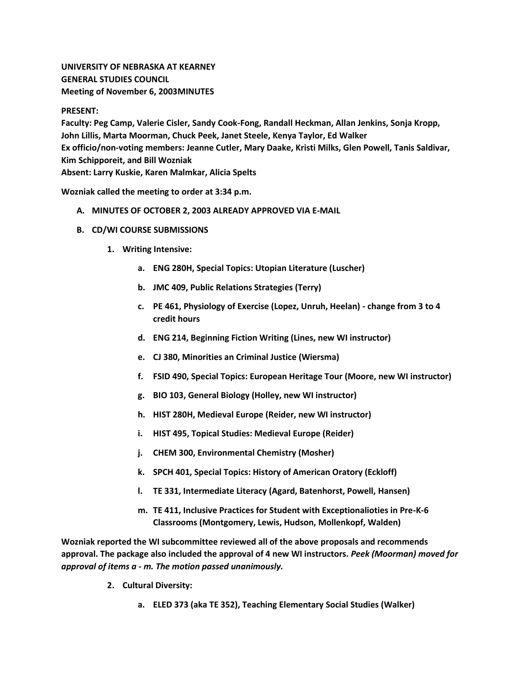## **UNIVERSITY OF NEBRASKA AT KEARNEY GENERAL STUDIES COUNCIL Meeting of November 6, 2003MINUTES**

## **PRESENT:**

**Faculty: Peg Camp, Valerie Cisler, Sandy Cook-Fong, Randall Heckman, Allan Jenkins, Sonja Kropp, John Lillis, Marta Moorman, Chuck Peek, Janet Steele, Kenya Taylor, Ed Walker Ex officio/non-voting members: Jeanne Cutler, Mary Daake, Kristi Milks, Glen Powell, Tanis Saldivar, Kim Schipporeit, and Bill Wozniak Absent: Larry Kuskie, Karen Malmkar, Alicia Spelts**

**Wozniak called the meeting to order at 3:34 p.m.**

- **A. MINUTES OF OCTOBER 2, 2003 ALREADY APPROVED VIA E-MAIL**
- **B. CD/WI COURSE SUBMISSIONS**
	- **1. Writing Intensive:**
		- **a. ENG 280H, Special Topics: Utopian Literature (Luscher)**
		- **b. JMC 409, Public Relations Strategies (Terry)**
		- **c. PE 461, Physiology of Exercise (Lopez, Unruh, Heelan) - change from 3 to 4 credit hours**
		- **d. ENG 214, Beginning Fiction Writing (Lines, new WI instructor)**
		- **e. CJ 380, Minorities an Criminal Justice (Wiersma)**
		- **f. FSID 490, Special Topics: European Heritage Tour (Moore, new WI instructor)**
		- **g. BIO 103, General Biology (Holley, new WI instructor)**
		- **h. HIST 280H, Medieval Europe (Reider, new WI instructor)**
		- **i. HIST 495, Topical Studies: Medieval Europe (Reider)**
		- **j. CHEM 300, Environmental Chemistry (Mosher)**
		- **k. SPCH 401, Special Topics: History of American Oratory (Eckloff)**
		- **l. TE 331, Intermediate Literacy (Agard, Batenhorst, Powell, Hansen)**
		- **m. TE 411, Inclusive Practices for Student with Exceptionalioties in Pre-K-6 Classrooms (Montgomery, Lewis, Hudson, Mollenkopf, Walden)**

**Wozniak reported the WI subcommittee reviewed all of the above proposals and recommends approval. The package also included the approval of 4 new WI instructors.** *Peek (Moorman) moved for approval of items a - m. The motion passed unanimously.*

- **2. Cultural Diversity:**
	- **a. ELED 373 (aka TE 352), Teaching Elementary Social Studies (Walker)**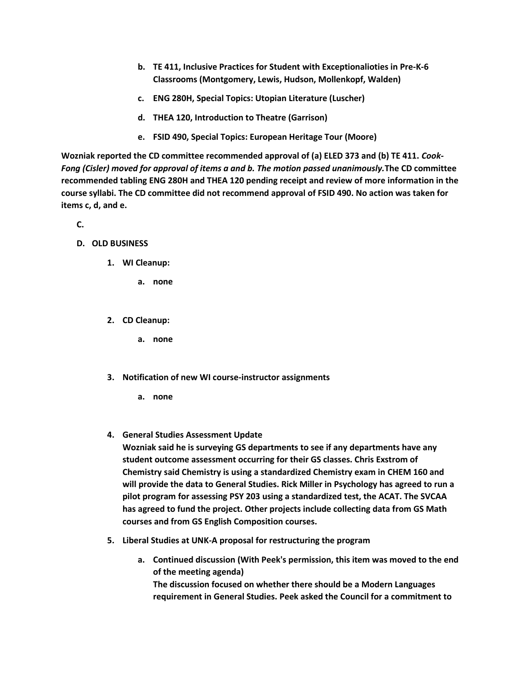- **b. TE 411, Inclusive Practices for Student with Exceptionalioties in Pre-K-6 Classrooms (Montgomery, Lewis, Hudson, Mollenkopf, Walden)**
- **c. ENG 280H, Special Topics: Utopian Literature (Luscher)**
- **d. THEA 120, Introduction to Theatre (Garrison)**
- **e. FSID 490, Special Topics: European Heritage Tour (Moore)**

**Wozniak reported the CD committee recommended approval of (a) ELED 373 and (b) TE 411.** *Cook-Fong (Cisler) moved for approval of items a and b. The motion passed unanimously.***The CD committee recommended tabling ENG 280H and THEA 120 pending receipt and review of more information in the course syllabi. The CD committee did not recommend approval of FSID 490. No action was taken for items c, d, and e.**

**C.**

- **D. OLD BUSINESS**
	- **1. WI Cleanup:** 
		- **a. none**
	- **2. CD Cleanup:** 
		- **a. none**
	- **3. Notification of new WI course-instructor assignments** 
		- **a. none**
	- **4. General Studies Assessment Update**

**Wozniak said he is surveying GS departments to see if any departments have any student outcome assessment occurring for their GS classes. Chris Exstrom of Chemistry said Chemistry is using a standardized Chemistry exam in CHEM 160 and will provide the data to General Studies. Rick Miller in Psychology has agreed to run a pilot program for assessing PSY 203 using a standardized test, the ACAT. The SVCAA has agreed to fund the project. Other projects include collecting data from GS Math courses and from GS English Composition courses.**

- **5. Liberal Studies at UNK-A proposal for restructuring the program** 
	- **a. Continued discussion (With Peek's permission, this item was moved to the end of the meeting agenda) The discussion focused on whether there should be a Modern Languages requirement in General Studies. Peek asked the Council for a commitment to**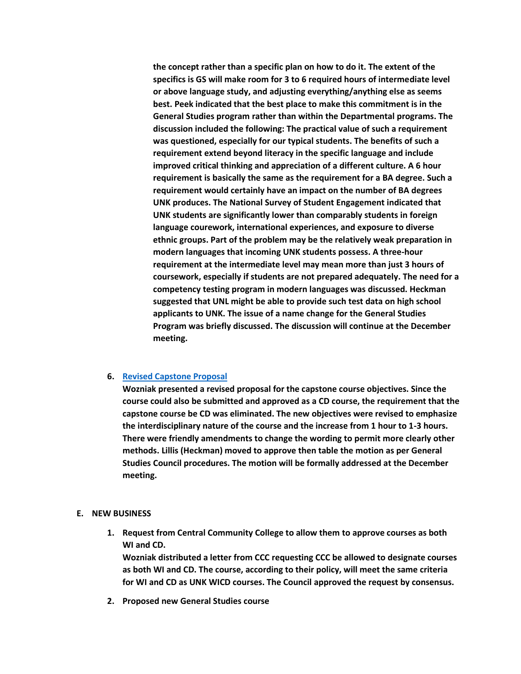**the concept rather than a specific plan on how to do it. The extent of the specifics is GS will make room for 3 to 6 required hours of intermediate level or above language study, and adjusting everything/anything else as seems best. Peek indicated that the best place to make this commitment is in the General Studies program rather than within the Departmental programs. The discussion included the following: The practical value of such a requirement was questioned, especially for our typical students. The benefits of such a requirement extend beyond literacy in the specific language and include improved critical thinking and appreciation of a different culture. A 6 hour requirement is basically the same as the requirement for a BA degree. Such a requirement would certainly have an impact on the number of BA degrees UNK produces. The National Survey of Student Engagement indicated that UNK students are significantly lower than comparably students in foreign language courework, international experiences, and exposure to diverse ethnic groups. Part of the problem may be the relatively weak preparation in modern languages that incoming UNK students possess. A three-hour requirement at the intermediate level may mean more than just 3 hours of coursework, especially if students are not prepared adequately. The need for a competency testing program in modern languages was discussed. Heckman suggested that UNL might be able to provide such test data on high school applicants to UNK. The issue of a name change for the General Studies Program was briefly discussed. The discussion will continue at the December meeting.**

## **6. [Revised Capstone Proposal](http://www.unk.edu/academicaffairs/generalstudies/index.php?id=3865)**

**Wozniak presented a revised proposal for the capstone course objectives. Since the course could also be submitted and approved as a CD course, the requirement that the capstone course be CD was eliminated. The new objectives were revised to emphasize the interdisciplinary nature of the course and the increase from 1 hour to 1-3 hours. There were friendly amendments to change the wording to permit more clearly other methods. Lillis (Heckman) moved to approve then table the motion as per General Studies Council procedures. The motion will be formally addressed at the December meeting.**

## **E. NEW BUSINESS**

**1. Request from Central Community College to allow them to approve courses as both WI and CD.**

**Wozniak distributed a letter from CCC requesting CCC be allowed to designate courses as both WI and CD. The course, according to their policy, will meet the same criteria for WI and CD as UNK WICD courses. The Council approved the request by consensus.**

**2. Proposed new General Studies course**